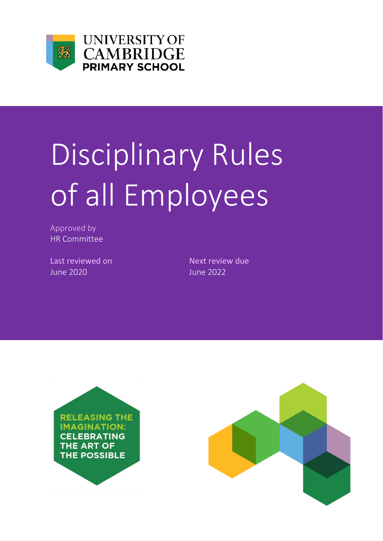

**UNIVERSITY OF CAMBRIDGE PRIMARY SCHOOL** 

## Disciplinary Rules of all Employees

Approved by HR Committee

Last reviewed on Next review due June 2020 June 2022



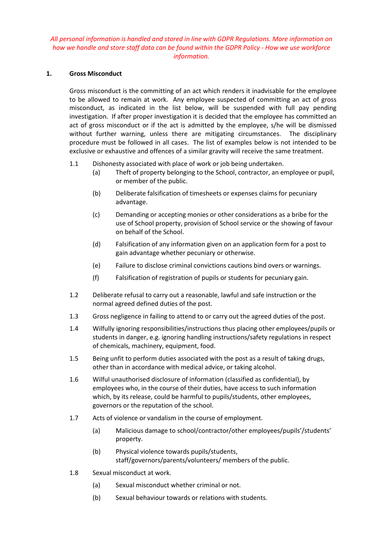## *All personal information is handled and stored in line with GDPR Regulations. More information on how we handle and store staff data can be found within the GDPR Policy - How we use workforce information.*

## **1. Gross Misconduct**

Gross misconduct is the committing of an act which renders it inadvisable for the employee to be allowed to remain at work. Any employee suspected of committing an act of gross misconduct, as indicated in the list below, will be suspended with full pay pending investigation. If after proper investigation it is decided that the employee has committed an act of gross misconduct or if the act is admitted by the employee, s/he will be dismissed without further warning, unless there are mitigating circumstances. The disciplinary procedure must be followed in all cases. The list of examples below is not intended to be exclusive or exhaustive and offences of a similar gravity will receive the same treatment.

- 1.1 Dishonesty associated with place of work or job being undertaken.
	- (a) Theft of property belonging to the School, contractor, an employee or pupil, or member of the public.
	- (b) Deliberate falsification of timesheets or expenses claims for pecuniary advantage.
	- (c) Demanding or accepting monies or other considerations as a bribe for the use of School property, provision of School service or the showing of favour on behalf of the School.
	- (d) Falsification of any information given on an application form for a post to gain advantage whether pecuniary or otherwise.
	- (e) Failure to disclose criminal convictions cautions bind overs or warnings.
	- (f) Falsification of registration of pupils or students for pecuniary gain.
- 1.2 Deliberate refusal to carry out a reasonable, lawful and safe instruction or the normal agreed defined duties of the post.
- 1.3 Gross negligence in failing to attend to or carry out the agreed duties of the post.
- 1.4 Wilfully ignoring responsibilities/instructions thus placing other employees/pupils or students in danger, e.g. ignoring handling instructions/safety regulations in respect of chemicals, machinery, equipment, food.
- 1.5 Being unfit to perform duties associated with the post as a result of taking drugs, other than in accordance with medical advice, or taking alcohol.
- 1.6 Wilful unauthorised disclosure of information (classified as confidential), by employees who, in the course of their duties, have access to such information which, by its release, could be harmful to pupils/students, other employees, governors or the reputation of the school.
- 1.7 Acts of violence or vandalism in the course of employment.
	- (a) Malicious damage to school/contractor/other employees/pupils'/students' property.
	- (b) Physical violence towards pupils/students, staff/governors/parents/volunteers/ members of the public.
- 1.8 Sexual misconduct at work.
	- (a) Sexual misconduct whether criminal or not.
	- (b) Sexual behaviour towards or relations with students.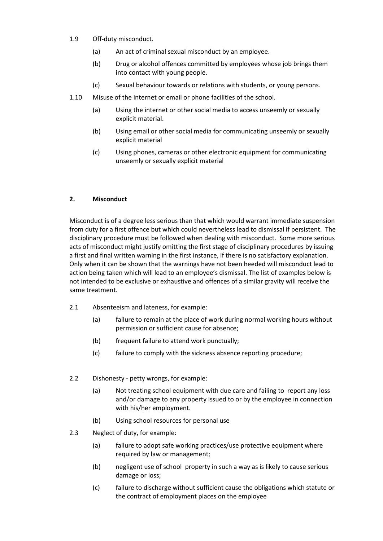- 1.9 Off-duty misconduct.
	- (a) An act of criminal sexual misconduct by an employee.
	- (b) Drug or alcohol offences committed by employees whose job brings them into contact with young people.
	- (c) Sexual behaviour towards or relations with students, or young persons.
- 1.10 Misuse of the internet or email or phone facilities of the school.
	- (a) Using the internet or other social media to access unseemly or sexually explicit material.
	- (b) Using email or other social media for communicating unseemly or sexually explicit material
	- (c) Using phones, cameras or other electronic equipment for communicating unseemly or sexually explicit material

## **2. Misconduct**

Misconduct is of a degree less serious than that which would warrant immediate suspension from duty for a first offence but which could nevertheless lead to dismissal if persistent. The disciplinary procedure must be followed when dealing with misconduct. Some more serious acts of misconduct might justify omitting the first stage of disciplinary procedures by issuing a first and final written warning in the first instance, if there is no satisfactory explanation. Only when it can be shown that the warnings have not been heeded will misconduct lead to action being taken which will lead to an employee's dismissal. The list of examples below is not intended to be exclusive or exhaustive and offences of a similar gravity will receive the same treatment.

- 2.1 Absenteeism and lateness, for example:
	- (a) failure to remain at the place of work during normal working hours without permission or sufficient cause for absence;
	- (b) frequent failure to attend work punctually;
	- (c) failure to comply with the sickness absence reporting procedure;
- 2.2 Dishonesty petty wrongs, for example:
	- (a) Not treating school equipment with due care and failing to report any loss and/or damage to any property issued to or by the employee in connection with his/her employment.
	- (b) Using school resources for personal use
- 2.3 Neglect of duty, for example:
	- (a) failure to adopt safe working practices/use protective equipment where required by law or management:
	- (b) negligent use of school property in such a way as is likely to cause serious damage or loss;
	- (c) failure to discharge without sufficient cause the obligations which statute or the contract of employment places on the employee